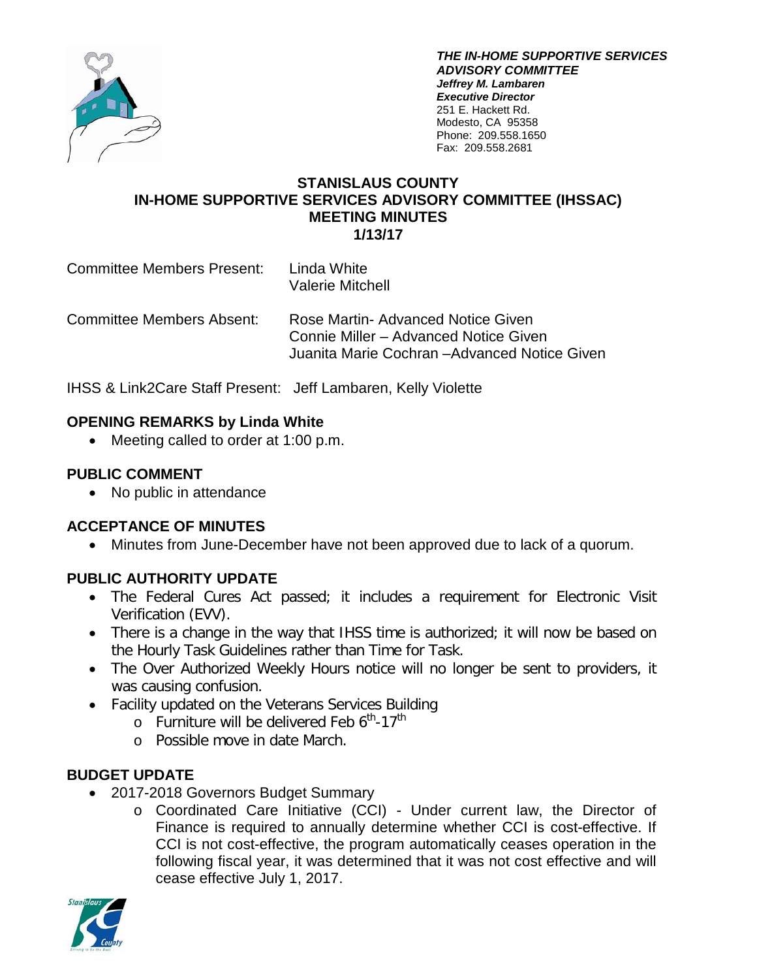

*THE IN-HOME SUPPORTIVE SERVICES ADVISORY COMMITTEE Jeffrey M. Lambaren Executive Director* 251 E. Hackett Rd. Modesto, CA 95358 Phone: 209.558.1650 Fax: 209.558.2681

#### **STANISLAUS COUNTY IN-HOME SUPPORTIVE SERVICES ADVISORY COMMITTEE (IHSSAC) MEETING MINUTES 1/13/17**

Committee Members Present: Linda White Valerie Mitchell

Committee Members Absent: Rose Martin- Advanced Notice Given Connie Miller – Advanced Notice Given Juanita Marie Cochran –Advanced Notice Given

IHSS & Link2Care Staff Present: Jeff Lambaren, Kelly Violette

## **OPENING REMARKS by Linda White**

• Meeting called to order at 1:00 p.m.

## **PUBLIC COMMENT**

• No public in attendance

# **ACCEPTANCE OF MINUTES**

• Minutes from June-December have not been approved due to lack of a quorum.

# **PUBLIC AUTHORITY UPDATE**

- The Federal Cures Act passed; it includes a requirement for Electronic Visit Verification (EVV).
- There is a change in the way that IHSS time is authorized; it will now be based on the Hourly Task Guidelines rather than Time for Task.
- The Over Authorized Weekly Hours notice will no longer be sent to providers, it was causing confusion.
- Facility updated on the Veterans Services Building
	- $\circ$  Furniture will be delivered Feb 6<sup>th</sup>-17<sup>th</sup>
	- o Possible move in date March.

### **BUDGET UPDATE**

- 2017-2018 Governors Budget Summary
	- o Coordinated Care Initiative (CCI) Under current law, the Director of Finance is required to annually determine whether CCI is cost-effective. If CCI is not cost-effective, the program automatically ceases operation in the following fiscal year, it was determined that it was not cost effective and will cease effective July 1, 2017.